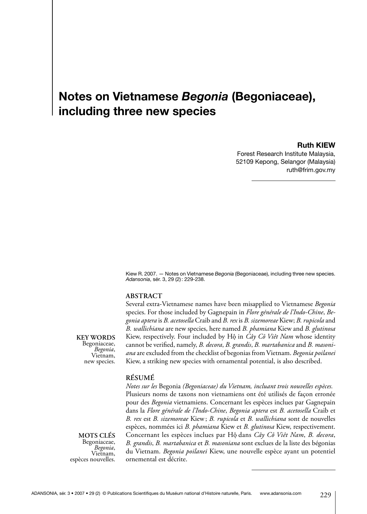# **Notes on Vietnamese** *Begonia* **(Begoniaceae), including three new species**

### **Ruth KIEW**

Forest Research Institute Malaysia, 52109 Kepong, Selangor (Malaysia) ruth@frim.gov.my

Kiew R. 2007. — Notes on Vietnamese *Begonia* (Begoniaceae), including three new species. *Adansonia*, sér. 3, 29 (2): 229-238.

### **Abstract**

**Key words** Begoniaceae, *Begonia*, Vietnam, new species.

Several extra-Vietnamese names have been misapplied to Vietnamese *Begonia*  species. For those included by Gagnepain in *Flore générale de l'Indo-Chine*, *Begonia aptera* is *B. acetosella* Craib and *B. rex* is *B. sizemoreae* Kiew; *B. rupicola* and *B. wallichiana* are new species, here named *B. phamiana* Kiew and *B. glutinosa*  Kiew, respectively. Four included by Hộ in *Cây Cô Viêt Nam* whose identity cannot be verified, namely, *B. decora*, *B. grandis*, *B. martabanica* and *B. masoniana* are excluded from the checklist of begonias from Vietnam. *Begonia poilanei* Kiew, a striking new species with ornamental potential, is also described.

### **Résumé**

**Mots clés** Begoniaceae, *Begonia*, Vietnam, espèces nouvelles.

*Notes sur les* Begonia *(Begoniaceae) du Vietnam, incluant trois nouvelles espèces.* Plusieurs noms de taxons non vietnamiens ont été utilisés de façon erronée pour des *Begonia* vietnamiens. Concernant les espèces inclues par Gagnepain dans la *Flore générale de l'Indo-Chine*, *Begonia aptera* est *B. acetosella* Craib et *B. rex* est *B. sizemoreae* Kiew; *B. rupicola* et *B. wallichiana* sont de nouvelles espèces, nommées ici *B. phamiana* Kiew et *B. glutinosa* Kiew, respectivement. Concernant les espèces inclues par Hô. dans *Cây Cô Viêt Nam*, *B. decora*, *B. grandis*, *B. martabanica* et *B. masoniana* sont exclues de la liste des bégonias du Vietnam. *Begonia poilanei* Kiew, une nouvelle espèce ayant un potentiel ornemental est décrite.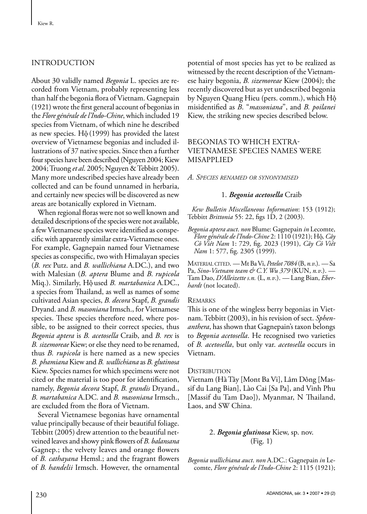# **INTRODUCTION**

About 30 validly named *Begonia* L. species are recorded from Vietnam, probably representing less than half the begonia flora of Vietnam. Gagnepain (1921) wrote the first general account of begonias in the *Flore générale de l'Indo-Chine*, which included 19 species from Vietnam, of which nine he described as new species. Hộ (1999) has provided the latest overview of Vietnamese begonias and included illustrations of 37 native species. Since then a further four species have been described (Nguyen 2004; Kiew 2004; Truong *et al*. 2005; Nguyen & Tebbitt 2005). Many more undescribed species have already been collected and can be found unnamed in herbaria, and certainly new species will be discovered as new areas are botanically explored in Vietnam.

When regional floras were not so well known and detailed descriptions of the species were not available, a few Vietnamese species were identified as conspecific with apparently similar extra-Vietnamese ones. For example, Gagnepain named four Vietnamese species as conspecific, two with Himalayan species (*B. rex* Putz. and *B. wallichiana* A.DC.), and two with Malesian (*B. aptera* Blume and *B. rupicola*  Miq.). Similarly, Hô. used *B. martabanica* A.DC., a species from Thailand, as well as names of some cultivated Asian species, *B. decora* Stapf, *B. grandis* Dryand. and *B. masoniana* Irmsch., for Vietnamese species. These species therefore need, where possible, to be assigned to their correct species, thus *Begonia aptera* is *B. acetosella* Craib, and *B. rex* is *B. sizemoreae* Kiew; or else they need to be renamed, thus *B. rupicola* is here named as a new species *B. phamiana* Kiew and *B. wallichiana* as *B. glutinosa* Kiew. Species names for which specimens were not cited or the material is too poor for identification, namely, *Begonia decora* Stapf, *B. grandis* Dryand., *B. martabanica* A.DC. and *B. masoniana* Irmsch., are excluded from the flora of Vietnam.

Several Vietnamese begonias have ornamental value principally because of their beautiful foliage. Tebbitt (2005) drew attention to the beautiful netveined leaves and showy pink flowers of *B. balansana* Gagnep.; the velvety leaves and orange flowers of *B. cathayana* Hemsl.; and the fragrant flowers of *B. handelii* Irmsch. However, the ornamental potential of most species has yet to be realized as witnessed by the recent description of the Vietnamese hairy begonia, *B. sizemoreae* Kiew (2004); the recently discovered but as yet undescribed begonia by Nguyen Quang Hieu (pers. comm.), which Hô. misidentified as *B*. "*massoniana*", and *B. poilanei*  Kiew, the striking new species described below.

# Begonias to which extra-Vietnamese species names were misapplied

*A. Species renamed or synonymised*

# 1. *Begonia acetosella* Craib

*Kew Bulletin Miscellaneous Information*: 153 (1912); Tebbitt *Brittonia* 55: 22, figs 1D, 2 (2003).

*Begonia aptera auct*. *non* Blume: Gagnepain *in* Lecomte, *Flore générale de l'Indo-Chine* 2: 1110 (1921); Hô., *Cây Cô Viêt Nam* 1: 729, fig. 2023 (1991), *Cây Cô Viêt Nam* 1: 577, fig. 2305 (1999).

Material cited. — Mt Ba Vi, *Petelot 7084* (B, *n.v*.). — Sa Pa, *Sino-Vietnam team & C.Y. Wu 379* (KUN, *n.v*.). — Tam Dao, *D'Alleizette s.n.* (L, *n.v*.). — Lang Bian, *Eberhardt* (not located).

### **REMARKS**

This is one of the wingless berry begonias in Vietnam. Tebbitt (2003), in his revision of sect. *Sphenanthera*, has shown that Gagnepain's taxon belongs to *Begonia acetosella*. He recognised two varieties of *B. acetosella*, but only var. *acetosella* occurs in Vietnam.

### DISTRIBUTION

Vietnam (Hà Tây [Mont Ba Vi], Lâm Dông [Massif du Lang Bian], Lào Cai [Sa Pa], and Vinh Phu [Massif du Tam Dao]), Myanmar, N Thailand, Laos, and SW China.

# 2. *Begonia glutinosa* Kiew, sp. nov. (Fig. 1)

*Begonia wallichiana auct*. *non* A.DC.: Gagnepain *in* Lecomte, *Flore générale de l'Indo-Chine* 2: 1115 (1921);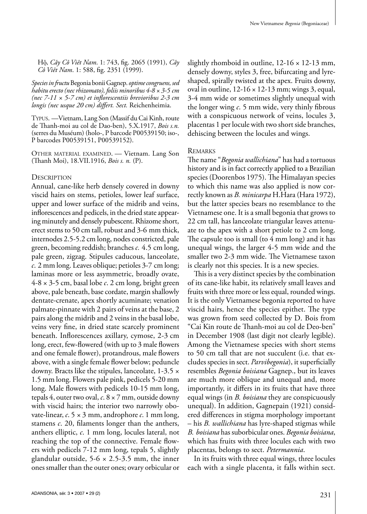Hô., *Cây Cô Viêt Nam*. 1: 743, fig. 2065 (1991), *Cây Cô Viêt Nam*. 1: 588, fig. 2351 (1999).

#### *Species in fructu* Begonia bonii Gagnep. *optime congruens, sed habitu erecto (nec rhizomato), foliis minoribus 4-8 × 3-5 cm (nec 7-11 × 5-7 cm) et inflorescentiis brevioribus 2-3 cm longis (nec usque 20 cm) differt. Sect.* Reichenheimia.

Typus. —Vietnam, Lang Son (Massif du Cai Kinh, route de Thanh-moi au col de Dao-ben), 5.X.1917, *Bois s.n.* (serres du Muséum) (holo-, P barcode P00539150; iso-, P barcodes P00539151, P00539152).

Other material examined. — Vietnam. Lang Son (Thanh Moi), 18.VII.1916, *Bois s. n.* (P).

#### **DESCRIPTION**

Annual, cane-like herb densely covered in downy viscid hairs on stems, petioles, lower leaf surface, upper and lower surface of the midrib and veins, inflorescences and pedicels, in the dried state appearing minutely and densely pubescent. Rhizome short, erect stems to 50 cm tall, robust and 3-6 mm thick, internodes 2.5-5.2 cm long, nodes constricted, pale green, becoming reddish; branches *c.* 4.5 cm long, pale green, zigzag. Stipules caducous, lanceolate, *c*. 2 mm long. Leaves oblique; petioles 3-7 cm long; laminas more or less asymmetric, broadly ovate, 4-8 × 3-5 cm, basal lobe *c*. 2 cm long, bright green above, pale beneath, base cordate, margin shallowly dentate-crenate, apex shortly acuminate; venation palmate-pinnate with 2 pairs of veins at the base, 2 pairs along the midrib and 2 veins in the basal lobe, veins very fine, in dried state scarcely prominent beneath. Inflorescences axillary, cymose, 2-3 cm long, erect, few-flowered (with up to 3 male flowers and one female flower), protandrous, male flowers above, with a single female flower below; peduncle downy. Bracts like the stipules, lanceolate, 1-3.5 × 1.5 mm long. Flowers pale pink, pedicels 5-20 mm long. Male flowers with pedicels 10-15 mm long, tepals 4, outer two oval, *c*. 8 × 7 mm, outside downy with viscid hairs; the interior two narrowly obovate-linear, *c*. 5 × 3 mm, androphore *c*. 1 mm long, stamens *c*. 20, filaments longer than the anthers, anthers elliptic, *c*. 1 mm long, locules lateral, not reaching the top of the connective. Female flowers with pedicels 7-12 mm long, tepals 5, slightly glandular outside,  $5-6 \times 2.5-3.5$  mm, the inner ones smaller than the outer ones; ovary orbicular or

slightly rhomboid in outline,  $12-16 \times 12-13$  mm, densely downy, styles 3, free, bifurcating and lyreshaped, spirally twisted at the apex. Fruits downy, oval in outline,  $12-16 \times 12-13$  mm; wings 3, equal, 3-4 mm wide or sometimes slightly unequal with the longer wing *c*. 5 mm wide, very thinly fibrous with a conspicuous network of veins, locules 3, placentas 1 per locule with two short side branches, dehiscing between the locules and wings.

#### **REMARKS**

The name "*Begonia wallichiana*" has had a tortuous history and is in fact correctly applied to a Brazilian species (Doorenbos 1975). The Himalayan species to which this name was also applied is now correctly known as *B. minicarpa* H.Hara (Hara 1972), but the latter species bears no resemblance to the Vietnamese one. It is a small begonia that grows to 22 cm tall, has lanceolate triangular leaves attenuate to the apex with a short petiole to 2 cm long. The capsule too is small (to 4 mm long) and it has unequal wings, the larger 4-5 mm wide and the smaller two 2-3 mm wide. The Vietnamese taxon is clearly not this species. It is a new species.

This is a very distinct species by the combination of its cane-like habit, its relatively small leaves and fruits with three more or less equal, rounded wings. It is the only Vietnamese begonia reported to have viscid hairs, hence the species epithet. The type was grown from seed collected by D. Bois from "Cai Kin route de Thanh-moi au col de Deo-ben" in December 1908 (last digit not clearly legible). Among the Vietnamese species with short stems to 50 cm tall that are not succulent (i.e. that excludes species in sect. *Parvibegonia*), it superficially resembles *Begonia boisiana* Gagnep., but its leaves are much more oblique and unequal and, more importantly, it differs in its fruits that have three equal wings (in *B. boisiana* they are conspicuously unequal). In addition, Gagnepain (1921) considered differences in stigma morphology important – his *B. wallichiana* has lyre-shaped stigmas while *B. boisiana* has suborbicular ones. *Begonia boisiana*, which has fruits with three locules each with two placentas, belongs to sect. *Petermannia*.

In its fruits with three equal wings, three locules each with a single placenta, it falls within sect.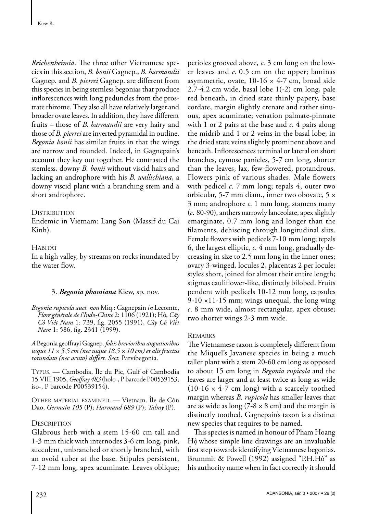*Reichenheimia*. The three other Vietnamese species in this section, *B. bonii* Gagnep., *B. harmandii*  Gagnep*.* and *B. pierrei* Gagnep. are different from this species in being stemless begonias that produce inflorescences with long peduncles from the prostrate rhizome. They also all have relatively larger and broader ovate leaves. In addition, they have different fruits – those of *B. harmandii* are very hairy and those of *B. pierrei* are inverted pyramidal in outline. *Begonia bonii* has similar fruits in that the wings are narrow and rounded. Indeed, in Gagnepain's account they key out together. He contrasted the stemless, downy *B. bonii* without viscid hairs and lacking an androphore with his *B. wallichiana*, a downy viscid plant with a branching stem and a short androphore.

# **DISTRIBUTION**

Endemic in Vietnam: Lang Son (Massif du Cai Kinh).

# **HABITAT**

In a high valley, by streams on rocks inundated by the water flow.

# 3. *Begonia phamiana* Kiew, sp. nov.

*Begonia rupicola auct. non* Miq.: Gagnepain *in* Lecomte, *Flore générale de l'Indo-Chine* 2: 1106 (1921); Hô., *Cây Cô Viêt Nam* 1: 739, fig. 2055 (1991), *Cây Cô Viêt Nam* 1: 586, fig. 2341 (1999).

*A* Begonia geoffrayi Gagnep. *foliis brevioribus angustioribus usque 11 × 5.5 cm (nec usque 18.5 × 10 cm) et alis fructus rotundato (nec acuto) differt. Sect.* Parvibegonia.

Typus. — Cambodia, Île du Pic, Gulf of Cambodia 15.VIII.1905, *Geoffray 483* (holo-, P barcode P00539153; iso-, P barcode P00539154).

Other material examined. — Vietnam. Île de Côn Dao, *Germain 105* (P); *Harmand 689* (P); *Talmy* (P).

### **DESCRIPTION**

Glabrous herb with a stem 15-60 cm tall and 1-3 mm thick with internodes 3-6 cm long, pink, succulent, unbranched or shortly branched, with an ovoid tuber at the base. Stipules persistent, 7-12 mm long, apex acuminate. Leaves oblique; petioles grooved above, *c*. 3 cm long on the lower leaves and *c*. 0.5 cm on the upper; laminas asymmetric, ovate,  $10-16 \times 4-7$  cm, broad side 2.7-4.2 cm wide, basal lobe 1(-2) cm long, pale red beneath, in dried state thinly papery, base cordate, margin slightly crenate and rather sinuous, apex acuminate; venation palmate-pinnate with 1 or 2 pairs at the base and *c*. 4 pairs along the midrib and 1 or 2 veins in the basal lobe; in the dried state veins slightly prominent above and beneath. Inflorescences terminal or lateral on short branches, cymose panicles, 5-7 cm long, shorter than the leaves, lax, few-flowered, protandrous. Flowers pink of various shades. Male flowers with pedicel *c*. 7 mm long; tepals 4, outer two orbicular, 5-7 mm diam., inner two obovate, 5 × 3 mm; androphore *c*. 1 mm long, stamens many (*c*. 80-90), anthers narrowly lanceolate, apex slightly emarginate, 0.7 mm long and longer than the filaments, dehiscing through longitudinal slits. Female flowers with pedicels 7-10 mm long; tepals 6, the largest elliptic, *c.* 4 mm long, gradually decreasing in size to 2.5 mm long in the inner ones; ovary 3-winged, locules 2, placentas 2 per locule; styles short, joined for almost their entire length; stigmas cauliflower-like, distinctly bilobed. Fruits pendent with pedicels 10-12 mm long, capsules  $9-10 \times 11-15$  mm; wings unequal, the long wing *c*. 8 mm wide, almost rectangular, apex obtuse; two shorter wings 2-3 mm wide.

### **REMARKS**

The Vietnamese taxon is completely different from the Miquel's Javanese species in being a much taller plant with a stem 20-60 cm long as opposed to about 15 cm long in *Begonia rupicola* and the leaves are larger and at least twice as long as wide  $(10-16 \times 4-7 \text{ cm long})$  with a scarcely toothed margin whereas *B. rupicola* has smaller leaves that are as wide as long (7-8  $\times$  8 cm) and the margin is distinctly toothed. Gagnepain's taxon is a distinct new species that requires to be named.

This species is named in honour of Pham Hoang Hô. whose simple line drawings are an invaluable first step towards identifying Vietnamese begonias. Brummit & Powell (1992) assigned "P.H.Hô" as his authority name when in fact correctly it should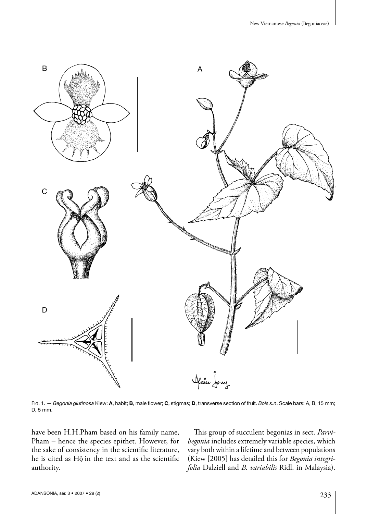

Fig. 1. — *Begonia glutinosa* Kiew: **A**, habit; **B**, male flower; **C**, stigmas; **D**, transverse section of fruit. *Bois s.n*. Scale bars: A, B, 15 mm; D, 5 mm.

have been H.H.Pham based on his family name, Pham – hence the species epithet. However, for the sake of consistency in the scientific literature, he is cited as Hộ in the text and as the scientific authority.

This group of succulent begonias in sect. *Parvibegonia* includes extremely variable species, which vary both within a lifetime and between populations (Kiew [2005] has detailed this for *Begonia integrifolia* Dalziell and *B. variabilis* Ridl. in Malaysia).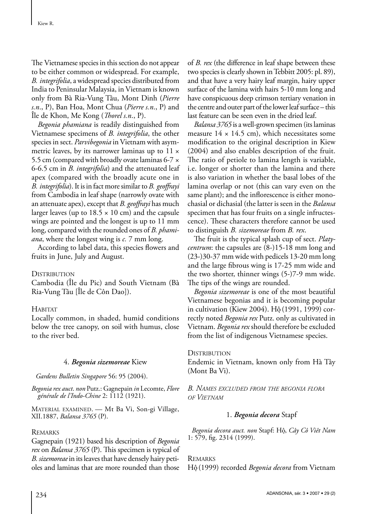The Vietnamese species in this section do not appear to be either common or widespread. For example, *B. integrifolia*, a widespread species distributed from India to Peninsular Malaysia, in Vietnam is known only from Bà Ria-Vung Tâu, Mont Dinh (*Pierre s.n*., P), Ban Hoa, Mont Chua (*Pierre s.n*., P) and Île de Khon, Me Kong (*Thorel s.n*., P).

*Begonia phamiana* is readily distinguished from Vietnamese specimens of *B. integrifolia*, the other species in sect. *Parvibegonia* in Vietnam with asymmetric leaves, by its narrower laminas up to  $11 \times$ 5.5 cm (compared with broadly ovate laminas 6-7 × 6-6.5 cm in *B. integrifolia*) and the attenuated leaf apex (compared with the broadly acute one in *B. integrifolia*). It is in fact more similar to *B. geoffrayi* from Cambodia in leaf shape (narrowly ovate with an attenuate apex), except that *B. geoffrayi* has much larger leaves (up to  $18.5 \times 10$  cm) and the capsule wings are pointed and the longest is up to 11 mm long, compared with the rounded ones of *B. phamiana*, where the longest wing is *c.* 7 mm long.

According to label data, this species flowers and fruits in June, July and August.

### **DISTRIBUTION**

Cambodia (Île du Pic) and South Vietnam (Bà Ria-Vung Tâu [Île de Côn Dao]).

### **HABITAT**

Locally common, in shaded, humid conditions below the tree canopy, on soil with humus, close to the river bed.

# 4. *Begonia sizemoreae* Kiew

*Gardens Bulletin Singapore* 56: 95 (2004).

*Begonia rex auct*. *non* Putz.: Gagnepain *in* Lecomte, *Flore générale de l'Indo-Chine* 2: 1112 (1921).

Material examined. — Mt Ba Vi, Son-gi Village, XII.1887, *Balansa 3765* (P).

### **REMARKS**

Gagnepain (1921) based his description of *Begonia rex* on *Balansa 3765* (P). This specimen is typical of *B. sizemoreae* in its leaves that have densely hairy petioles and laminas that are more rounded than those of *B. rex* (the difference in leaf shape between these two species is clearly shown in Tebbitt 2005: pl. 89), and that have a very hairy leaf margin, hairy upper surface of the lamina with hairs 5-10 mm long and have conspicuous deep crimson tertiary venation in the centre and outer part of the lower leaf surface – this last feature can be seen even in the dried leaf.

*Balansa 3765* is a well-grown specimen (its laminas measure  $14 \times 14.5$  cm), which necessitates some modification to the original description in Kiew (2004) and also enables description of the fruit. The ratio of petiole to lamina length is variable, i.e. longer or shorter than the lamina and there is also variation in whether the basal lobes of the lamina overlap or not (this can vary even on the same plant); and the inflorescence is either monochasial or dichasial (the latter is seen in the *Balansa* specimen that has four fruits on a single infructescence). These characters therefore cannot be used to distinguish *B. sizemoreae* from *B. rex*.

The fruit is the typical splash cup of sect. *Platycentrum*: the capsules are (8-)15-18 mm long and (23-)30-37 mm wide with pedicels 13-20 mm long and the large fibrous wing is 17-25 mm wide and the two shorter, thinner wings (5-)7-9 mm wide. The tips of the wings are rounded.

*Begonia sizemoreae* is one of the most beautiful Vietnamese begonias and it is becoming popular in cultivation (Kiew 2004). Hộ (1991, 1999) correctly noted *Begonia rex* Putz. only as cultivated in Vietnam. *Begonia rex* should therefore be excluded from the list of indigenous Vietnamese species.

### DISTRIBUTION

Endemic in Vietnam, known only from Hà Tây (Mont Ba Vi).

*B. Names excluded from the begonia flora of Vietnam*

# 1. *Begonia decora* Stapf

*Begonia decora auct. non* Stapf: Hô., *Cây Cô Viêt Nam* 1: 579, fig. 2314 (1999).

Remarks Hô. (1999) recorded *Begonia decora* from Vietnam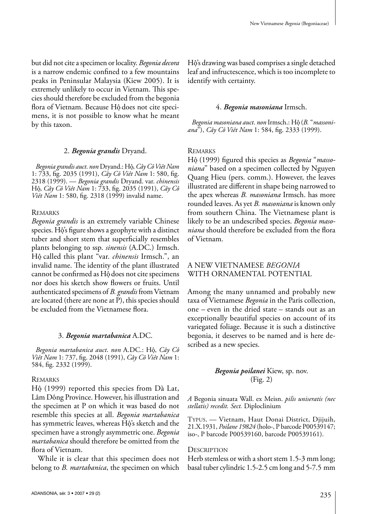but did not cite a specimen or locality. *Begonia decora* is a narrow endemic confined to a few mountains peaks in Peninsular Malaysia (Kiew 2005). It is extremely unlikely to occur in Vietnam. This species should therefore be excluded from the begonia flora of Vietnam. Because Hô. does not cite specimens, it is not possible to know what he meant by this taxon.

### 2. *Begonia grandis* Dryand.

*Begonia grandis auct*. *non* Dryand.: Hô., *Cây Cô Viêt Nam* 1: 733, fig. 2035 (1991), *Cây Cô Viêt Nam* 1: 580, fig. 2318 (1999). — *Begonia grandis* Dryand. var. *chinensis* Hô., *Cây Cô Viêt Nam* 1: 733, fig. 2035 (1991), *Cây Cô Viêt Nam* 1: 580, fig. 2318 (1999) invalid name.

#### **REMARKS**

*Begonia grandis* is an extremely variable Chinese species. Hộ's figure shows a geophyte with a distinct tuber and short stem that superficially resembles plants belonging to ssp. *sinensis* (A.DC.) Irmsch. Hô. called this plant "var. *chinensis* Irmsch.", an invalid name. The identity of the plant illustrated cannot be confirmed as Hộ does not cite specimens nor does his sketch show flowers or fruits. Until authenticated specimens of *B. grandis* from Vietnam are located (there are none at P), this species should be excluded from the Vietnamese flora.

#### 3. *Begonia martabanica* A.DC.

*Begonia martabanica auct*. *non* A.DC.: Hô., *Cây Cô Viêt Nam* 1: 737, fig. 2048 (1991), *Cây Cô Viêt Nam* 1: 584, fig. 2332 (1999).

#### **REMARKS**

Hô. (1999) reported this species from Dà Lat, Lâm Dông Province. However, his illustration and the specimen at P on which it was based do not resemble this species at all. *Begonia martabanica* has symmetric leaves, whereas Hộ's sketch and the specimen have a strongly asymmetric one. *Begonia martabanica* should therefore be omitted from the flora of Vietnam.

While it is clear that this specimen does not belong to *B. martabanica*, the specimen on which Hô.'s drawing was based comprises a single detached leaf and infructescence, which is too incomplete to identify with certainty.

#### 4. *Begonia masoniana* Irmsch.

Begonia masoniana auct. non Irmsch.: Hộ (B. "massoni*ana*"), *Cây Cô Viêt Nam* 1: 584, fig. 2333 (1999).

#### **REMARKS**

Hô. (1999) figured this species as *Begonia* "*massoniana*" based on a specimen collected by Nguyen Quang Hieu (pers. comm.). However, the leaves illustrated are different in shape being narrowed to the apex whereas *B. masoniana* Irmsch. has more rounded leaves. As yet *B. masoniana* is known only from southern China. The Vietnamese plant is likely to be an undescribed species. *Begonia masoniana* should therefore be excluded from the flora of Vietnam.

## A New Vietnamese *Begonia* with Ornamental Potential

Among the many unnamed and probably new taxa of Vietnamese *Begonia* in the Paris collection, one – even in the dried state – stands out as an exceptionally beautiful species on account of its variegated foliage. Because it is such a distinctive begonia, it deserves to be named and is here described as a new species.

# *Begonia poilanei* Kiew, sp. nov. (Fig. 2)

*A* Begonia sinuata Wall. ex Meisn. *pilis uniseratis (nec stellatis) recedit. Sect.* Diploclinium

Typus. — Vietnam, Haut Donai District, Djijuih, 21.X.1931, *Poilane 19824* (holo-, P barcode P00539147; iso-, P barcode P00539160, barcode P00539161).

#### **DESCRIPTION**

Herb stemless or with a short stem 1.5-3 mm long; basal tuber cylindric 1.5-2.5 cm long and 5-7.5 mm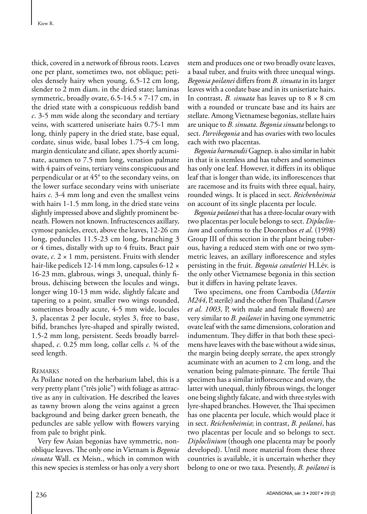thick, covered in a network of fibrous roots. Leaves one per plant, sometimes two, not oblique; petioles densely hairy when young, 6.5-12 cm long, slender to 2 mm diam. in the dried state; laminas symmetric, broadly ovate,  $6.5\n-14.5 \times 7\n-17$  cm, in the dried state with a conspicuous reddish band *c*. 3-5 mm wide along the secondary and tertiary veins, with scattered uniseriate hairs 0.75-1 mm long, thinly papery in the dried state, base equal, cordate, sinus wide, basal lobes 1.75-4 cm long, margin denticulate and ciliate, apex shortly acuminate, acumen to 7.5 mm long, venation palmate with 4 pairs of veins, tertiary veins conspicuous and perpendicular or at 45° to the secondary veins, on the lower surface secondary veins with uniseriate hairs *c*. 3-4 mm long and even the smallest veins with hairs 1-1.5 mm long, in the dried state veins slightly impressed above and slightly prominent beneath. Flowers not known. Infructescences axillary, cymose panicles, erect, above the leaves, 12-26 cm long, peduncles 11.5-23 cm long, branching 3 or 4 times, distally with up to 4 fruits. Bract pair ovate, *c.* 2 × 1 mm, persistent. Fruits with slender hair-like pedicels 12-14 mm long, capsules 6-12 × 16-23 mm, glabrous, wings 3, unequal, thinly fibrous, dehiscing between the locules and wings, longer wing 10-13 mm wide, slightly falcate and tapering to a point, smaller two wings rounded, sometimes broadly acute, 4-5 mm wide, locules 3, placentas 2 per locule, styles 3, free to base, bifid, branches lyre-shaped and spirally twisted, 1.5-2 mm long, persistent. Seeds broadly barrelshaped, *c*. 0.25 mm long, collar cells *c*. ¾ of the seed length.

# **REMARKS**

As Poilane noted on the herbarium label, this is a very pretty plant ("très jolie") with foliage as attractive as any in cultivation. He described the leaves as tawny brown along the veins against a green background and being darker green beneath, the peduncles are sable yellow with flowers varying from pale to bright pink.

Very few Asian begonias have symmetric, nonoblique leaves. The only one in Vietnam is *Begonia sinuata* Wall. ex Meisn., which in common with this new species is stemless or has only a very short stem and produces one or two broadly ovate leaves, a basal tuber, and fruits with three unequal wings. *Begonia poilanei* differs from *B. sinuata* in its larger leaves with a cordate base and in its uniseriate hairs. In contrast, *B. sinuata* has leaves up to 8 × 8 cm with a rounded or truncate base and its hairs are stellate. Among Vietnamese begonias, stellate hairs are unique to *B. sinuata*. *Begonia sinuata* belongs to sect. *Parvibegonia* and has ovaries with two locules each with two placentas.

*Begonia harmandii* Gagnep. is also similar in habit in that it is stemless and has tubers and sometimes has only one leaf. However, it differs in its oblique leaf that is longer than wide, its inflorescences that are racemose and its fruits with three equal, hairy, rounded wings. It is placed in sect. *Reichenheimia*  on account of its single placenta per locule.

*Begonia poilanei* that has a three-locular ovary with two placentas per locule belongs to sect. *Diploclinium* and conforms to the Doorenbos *et al*. (1998) Group III of this section in the plant being tuberous, having a reduced stem with one or two symmetric leaves, an axillary inflorescence and styles persisting in the fruit. *Begonia cavaleriei* H.Lév. is the only other Vietnamese begonia in this section but it differs in having peltate leaves.

Two specimens, one from Cambodia (*Martin M244*, P, sterile) and the other from Thailand (*Larsen et al. 1003*, P, with male and female flowers) are very similar to *B. poilanei* in having one symmetric ovate leaf with the same dimensions, coloration and indumentum. They differ in that both these specimens have leaves with the base without a wide sinus, the margin being deeply serrate, the apex strongly acuminate with an acumen to 2 cm long, and the venation being palmate-pinnate. The fertile Thai specimen has a similar inflorescence and ovary, the latter with unequal, thinly fibrous wings, the longer one being slightly falcate, and with three styles with lyre-shaped branches. However, the Thai specimen has one placenta per locule, which would place it in sect. *Reichenheimia*; in contrast, *B. poilanei*, has two placentas per locule and so belongs to sect. *Diploclinium* (though one placenta may be poorly developed). Until more material from these three countries is available, it is uncertain whether they belong to one or two taxa. Presently, *B. poilanei* is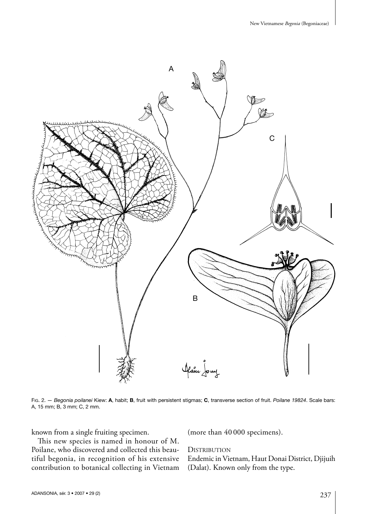

Fig. 2. — *Begonia poilanei* Kiew: **A**, habit; **B**, fruit with persistent stigmas; **C**, transverse section of fruit. *Poilane 19824*. Scale bars: A, 15 mm; B, 3 mm; C, 2 mm.

known from a single fruiting specimen.

This new species is named in honour of M. Poilane, who discovered and collected this beautiful begonia, in recognition of his extensive contribution to botanical collecting in Vietnam (more than 40 000 specimens).

**DISTRIBUTION** 

Endemic in Vietnam, Haut Donai District, Djijuih (Dalat). Known only from the type.